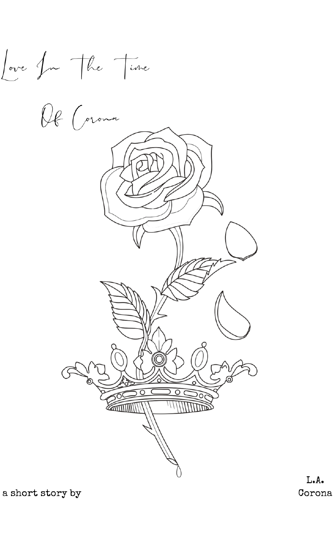Love for the time

Of Corona

a short story by

 $\mathbf{L} \bullet \mathbf{A} \bullet$ Corona

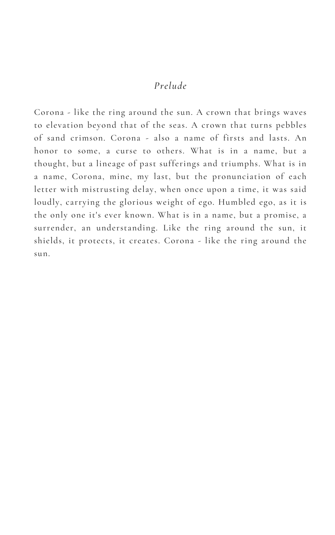## *Prelude*

Corona - like the ring around the sun. A crown that brings waves to elevation beyond that of the seas. A crown that turns pebbles of sand crimson. Corona - also a name of firsts and lasts. An honor to some, a curse to others. What is in a name, but a thought, but a lineage of past sufferings and triumphs. What is in a name, Corona, mine, my last, but the pronunciation of each letter with mistrusting delay, when once upon a time, it was said loudly, carrying the glorious weight of ego. Humbled ego, as it is the only one it's ever known. What is in a name, but a promise, a surrender, an understanding. Like the ring around the sun, it shields, it protects, it creates. Corona - like the ring around the sun.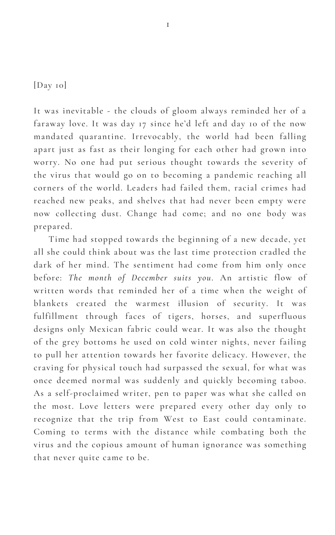[Day 10]

It was inevitable - the clouds of gloom always reminded her of a faraway love. It was day 17 since he'd left and day 10 of the now mandated quarantine. Irrevocably, the world had been falling apart just as fast as their longing for each other had grown into worry. No one had put serious thought towards the severity of the virus that would go on to becoming a pandemic reaching all corners of the world. Leaders had failed them, racial crimes had reached new peaks, and shelves that had never been empty were now collecting dust. Change had come; and no one body was prepared.

Time had stopped towards the beginning of a new decade, yet all she could think about was the last time protection cradled the dark of her mind. The sentiment had come from him only once before: *The month of December suits you*. An artistic flow of

written words that reminded her of a time when the weight of blankets created the warmest illusion of security. It was fulfillment through faces of tigers, horses, and superfluous designs only Mexican fabric could wear. It was also the thought of the grey bottoms he used on cold winter nights, never failing to pull her attention towards her favorite delicacy. However, the craving for physical touch had surpassed the sexual, for what was once deemed normal was suddenly and quickly becoming taboo. As a self-proclaimed writer, pen to paper was what she called on the most. Love letters were prepared every other day only to recognize that the trip from West to East could contaminate. Coming to terms with the distance while combating both the virus and the copious amount of human ignorance was something that never quite came to be.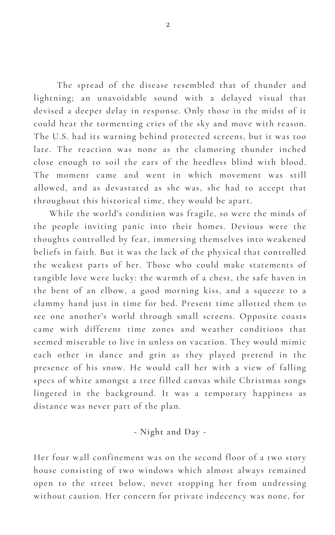The spread of the disease resembled that of thunder and lightning; an unavoidable sound with a delayed visual that devised a deeper delay in response. Only those in the midst of it could hear the tormenting cries of the sky and move with reason. The U.S. had its warning behind protected screens, but it was too late. The reaction was none as the clamoring thunder inched close enough to soil the ears of the heedless blind with blood. The moment came and went in which movement was still allowed, and as devastated as she was, she had to accept that throughout this historical time, they would be apart.

While the world's condition was fragile, so were the minds of the people inviting panic into their homes. Devious were the thoughts controlled by fear, immersing themselves into weakened beliefs in faith. But it was the lack of the physical that controlled the weakest parts of her. Those who could make statements of tangible love were lucky: the warmth of a chest, the safe haven in the bent of an elbow, a good morning kiss, and a squeeze to a clammy hand just in time for bed. Present time allotted them to see one another's world through small screens. Opposite coasts came with different time zones and weather conditions that seemed miserable to live in unless on vacation. They would mimic each other in dance and grin as they played pretend in the presence of his snow. He would call her with a view of falling specs of white amongst a tree filled canvas while Christmas songs lingered in the background. It was a temporary happiness as distance was never part of the plan.

- Night and Day -

Her four wall confinement was on the second floor of a two story house consisting of two windows which almost always remained open to the street below, never stopping her from undressing without caution. Her concern for private indecency was none, for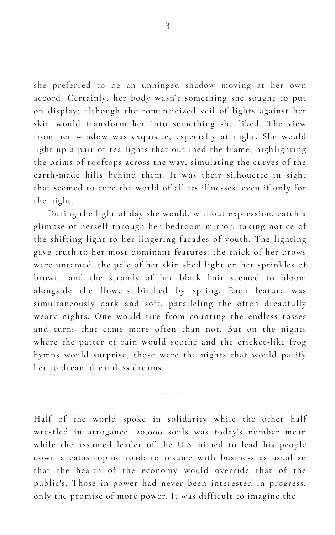she preferred to be an unhinged shadow moving at her own accord. Certainly, her body wasn't something she sought to put on display; although the romanticized veil of lights against her skin would transform her into something she liked. The view from her window was exquisite, especially at night. She would light up a pair of tea lights that outlined the frame, highlighting the brims of rooftops across the way, simulating the curves of the earth-made hills behind them. It was their silhouette in sight that seemed to cure the world of all its illnesses, even if only for the night.

During the light of day she would, without expression, catch a glimpse of herself through her bedroom mirror, taking notice of the shifting light to her lingering facades of youth. The lighting gave truth to her most dominant features: the thick of her brows were untamed, the pale of her skin shed light on her sprinkles of brown, and the strands of her black hair seemed to bloom alongside the flowers birthed by spring. Each feature was simultaneously dark and soft, paralleling the often dreadfully weary nights. One would tire from counting the endless tosses and turns that came more often than not. But on the nights where the patter of rain would soothe and the cricket-like frog hymns would surprise, those were the nights that would pacify her to dream dreamless dreams.

-------

Half of the world spoke in solidarity while the other half wrestled in arrogance. 20,000 souls was today's number mean while the assumed leader of the U.S. aimed to lead his people down a catastrophic road: to resume with business as usual so that the health of the economy would override that of the public's. Those in power had never been interested in progress, only the promise of more power. It was difficult to imagine the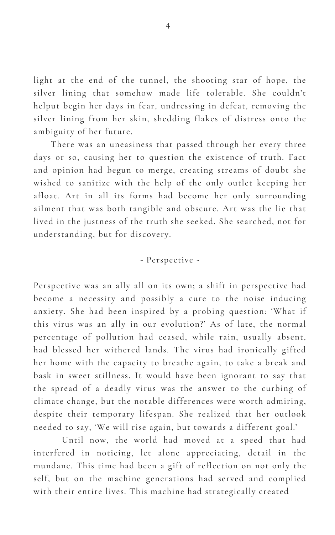light at the end of the tunnel, the shooting star of hope, the silver lining that somehow made life tolerable. She couldn't helput begin her days in fear, undressing in defeat, removing the silver lining from her skin, shedding flakes of distress onto the ambiguity of her future.

There was an uneasiness that passed through her every three days or so, causing her to question the existence of truth. Fact and opinion had begun to merge, creating streams of doubt she wished to sanitize with the help of the only outlet keeping her afloat. Art in all its forms had become her only surrounding ailment that was both tangible and obscure. Art was the lie that lived in the justness of the truth she seeked. She searched, not for understanding, but for discovery.

## - Perspective -

Perspective was an ally all on its own; a shift in perspective had become a necessity and possibly a cure to the noise inducing anxiety. She had been inspired by a probing question: 'What if this virus was an ally in our evolution?' As of late, the normal percentage of pollution had ceased, while rain, usually absent, had blessed her withered lands. The virus had ironically gifted her home with the capacity to breathe again, to take a break and bask in sweet stillness. It would have been ignorant to say that the spread of a deadly virus was the answer to the curbing of climate change, but the notable differences were worth admiring, despite their temporary lifespan. She realized that her outlook needed to say, 'We will rise again, but towards a different goal.'

Until now, the world had moved at a speed that had interfered in noticing, let alone appreciating, detail in the mundane. This time had been a gift of reflection on not only the self, but on the machine generations had served and complied with their entire lives. This machine had strategically created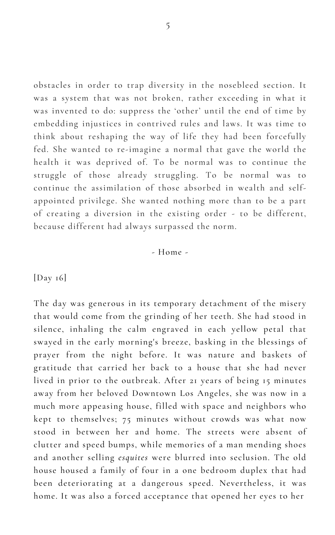5

obstacles in order to trap diversity in the nosebleed section. It was a system that was not broken, rather exceeding in what it was invented to do: suppress the ' other' until the end of time by embedding injustices in contrived rules and laws. It was time to think about reshaping the way of life they had been forcefully fed. She wanted to re-imagine a normal that gave the world the health it was deprived of. To be normal was to continue the struggle of those already struggling. To be normal was to continue the assimilation of those absorbed in wealth and selfappointed privilege. She wanted nothing more than to be a part of creating a diversion in the existing order - to be different, because different had always surpassed the norm.

The day was generous in its temporary detachment of the misery that would come from the grinding of her teeth. She had stood in silence, inhaling the calm engraved in each yellow petal that swayed in the early morning's breeze, basking in the blessings of prayer from the night before. It was nature and baskets of gratitude that carried her back to a house that she had never lived in prior to the outbreak. After 21 years of being 15 minutes away from her beloved Downtown Los Angeles, she was now in a much more appeasing house, filled with space and neighbors who kept to themselves; 75 minutes without crowds was what now stood in between her and home. The streets were absent of clutter and speed bumps, while memories of a man mending shoes and another selling *esquites* were blurred into seclusion. The old house housed a family of four in a one bedroom duplex that had been deteriorating at a dangerous speed. Nevertheless, it was home. It was also a forced acceptance that opened her eyes to her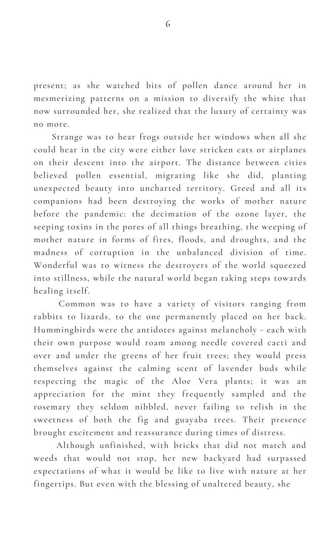present; as she watched bits of pollen dance around her in mesmerizing patterns on a mission to diversify the white that now surrounded her, she realized that the luxury of certainty was no more.

Strange was to hear frogs outside her windows when all she could hear in the city were either love stricken cats or airplanes on their descent into the airport. The distance between cities believed pollen essential, migrating like she did, planting unexpected beauty into uncharted territory. Greed and all its companions had been destroying the works of mother nature before the pandemic: the decimation of the ozone layer, the seeping toxins in the pores of all things breathing, the weeping of mother nature in forms of fires, floods, and droughts, and the madness of corruption in the unbalanced division of time. Wonderful was to witness the destroyers of the world squeezed into stillness, while the natural world began taking steps towards

healing itself.

Common was to have a variety of visitors ranging from rabbits to lizards, to the one permanently placed on her back. Hummingbirds were the antidotes against melancholy - each with their own purpose would roam among needle covered cacti and over and under the greens of her fruit trees; they would press themselves against the calming scent of lavender buds while respecting the magic of the Aloe Vera plants; it was an appreciation for the mint they frequently sampled and the rosemary they seldom nibbled, never failing to relish in the sweetness of both the fig and guayaba trees. Their presence brought excitement and reassurance during times of distress.

Although unfinished, with bricks that did not match and weeds that would not stop, her new backyard had surpassed expectations of what it would be like to live with nature at her fingertips. But even with the blessing of unaltered beauty, she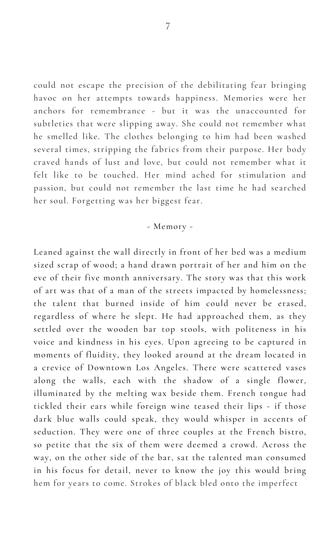could not escape the precision of the debilitating fear bringing havoc on her attempts towards happiness. Memories were her anchors for remembrance - but it was the unaccounted for subtleties that were slipping away. She could not remember what he smelled like. The clothes belonging to him had been washed several times, stripping the fabrics from their purpose. Her body craved hands of lust and love, but could not remember what it felt like to be touched. Her mind ached for stimulation and passion, but could not remember the last time he had searched her soul. Forgetting was her biggest fear.

- Memory -

Leaned against the wall directly in front of her bed was a medium sized scrap of wood; a hand drawn portrait of her and him on the eve of their five month anniversary. The story was that this work

of art was that of a man of the streets impacted by homelessness; the talent that burned inside of him could never be erased, regardless of where he slept. He had approached them, as they settled over the wooden bar top stools, with politeness in his voice and kindness in his eyes. Upon agreeing to be captured in moments of fluidity, they looked around at the dream located in a crevice of Downtown Los Angeles. There were scattered vases along the walls, each with the shadow of a single flower, illuminated by the melting wax beside them. French tongue had tickled their ears while foreign wine teased their lips - if those dark blue walls could speak, they would whisper in accents of seduction. They were one of three couples at the French bistro, so petite that the six of them were deemed a crowd. Across the way, on the other side of the bar, sat the talented man consumed in his focus for detail, never to know the joy this would bring hem for years to come. Strokes of black bled onto the imperfect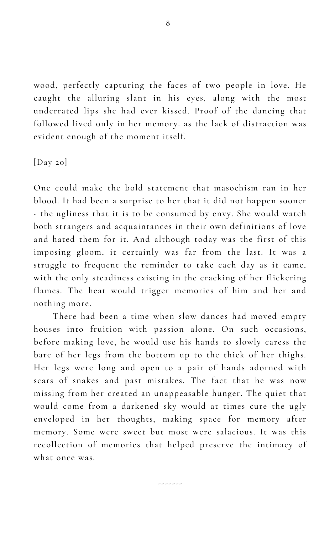wood, perfectly capturing the faces of two people in love. He caught the alluring slant in his eyes, along with the most underrated lips she had ever kissed. Proof of the dancing that followed lived only in her memory. as the lack of distraction was evident enough of the moment itself.

[Day 20]

One could make the bold statement that masochism ran in her blood. It had been a surprise to her that it did not happen sooner - the ugliness that it is to be consumed by envy. She would watch both strangers and acquaintances in their own definitions of love and hated them for it. And although today was the first of this imposing gloom, it certainly was far from the last. It was a struggle to frequent the reminder to take each day as it came, with the only steadiness existing in the cracking of her flickering

flames. The heat would trigger memories of him and her and nothing more.

There had been a time when slow dances had moved empty houses into fruition with passion alone. On such occasions, before making love, he would use his hands to slowly caress the bare of her legs from the bottom up to the thick of her thighs. Her legs were long and open to a pair of hands adorned with scars of snakes and past mistakes. The fact that he was now missing from her created an unappeasable hunger. The quiet that would come from a darkened sky would at times cure the ugly enveloped in her thoughts, making space for memory after memory. Some were sweet but most were salacious. It was this recollection of memories that helped preserve the intimacy of what once was.

-------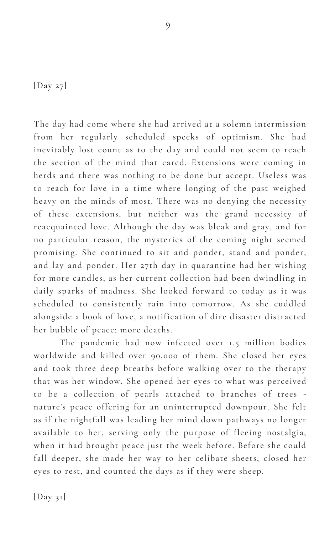## [Day 27]

The day had come where she had arrived at a solemn intermission from her regularly scheduled specks of optimism. She had inevitably lost count as to the day and could not seem to reach the section of the mind that cared. Extensions were coming in herds and there was nothing to be done but accept. Useless was to reach for love in a time where longing of the past weighed heavy on the minds of most. There was no denying the necessity of these extensions, but neither was the grand necessity of reacquainted love. Although the day was bleak and gray, and for no particular reason, the mysteries of the coming night seemed promising. She continued to sit and ponder, stand and ponder, and lay and ponder. Her 27th day in quarantine had her wishing for more candles, as her current collection had been dwindling in

daily sparks of madness. She looked forward to today as it was scheduled to consistently rain into tomorrow. As she cuddled alongside a book of love, a notification of dire disaster distracted her bubble of peace; more deaths.

The pandemic had now infected over 1.5 million bodies worldwide and killed over 90,000 of them. She closed her eyes and took three deep breaths before walking over to the therapy that was her window. She opened her eyes to what was perceived to be a collection of pearls attached to branches of trees nature's peace offering for an uninterrupted downpour. She felt as if the nightfall was leading her mind down pathways no longer available to her, serving only the purpose of fleeing nostalgia, when it had brought peace just the week before. Before she could fall deeper, she made her way to her celibate sheets, closed her eyes to rest, and counted the days as if they were sheep.

 $[Day \; 3I]$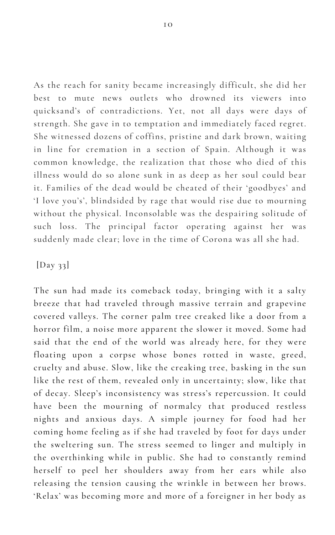As the reach for sanity became increasingly difficult, she did her best to mute news outlets who drowned its viewers into quicksand's of contradictions. Yet, not all days were days of strength. She gave in to temptation and immediately faced regret. She witnessed dozens of coffins, pristine and dark brown, waiting in line for cremation in a section of Spain. Although it was common knowledge, the realization that those who died of this illness would do so alone sunk in as deep as her soul could bear it. Families of the dead would be cheated of their ' goodbyes' and 'I love you's' , blindsided by rage that would rise due to mourning without the physical. Inconsolable was the despairing solitude of such loss. The principal factor operating against her was suddenly made clear; love in the time of Corona was all she had.

[Day 33]

The sun had made its comeback today, bringing with it a salty breeze that had traveled through massive terrain and grapevine covered valleys. The corner palm tree creaked like a door from a horror film, a noise more apparent the slower it moved. Some had said that the end of the world was already here, for they were floating upon a corpse whose bones rotted in waste, greed, cruelty and abuse. Slow, like the creaking tree, basking in the sun like the rest of them, revealed only in uncertainty; slow, like that of decay. Sleep's inconsistency was stress's repercussion. It could have been the mourning of normalcy that produced restless nights and anxious days. A simple journey for food had her coming home feeling as if she had traveled by foot for days under the sweltering sun. The stress seemed to linger and multiply in the overthinking while in public. She had to constantly remind herself to peel her shoulders away from her ears while also releasing the tension causing the wrinkle in between her brows. 'Relax ' was becoming more and more of a foreigner in her body as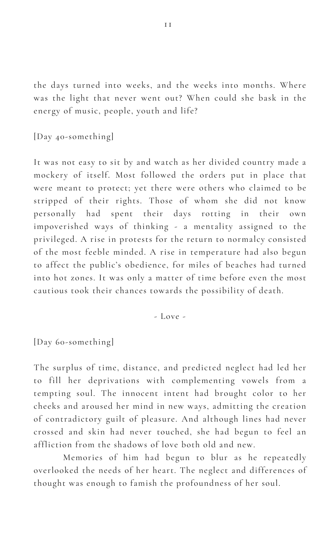the days turned into weeks, and the weeks into months. Where was the light that never went out? When could she bask in the energy of music, people, youth and life?

## [Day 40-something]

It was not easy to sit by and watch as her divided country made a mockery of itself. Most followed the orders put in place that were meant to protect; yet there were others who claimed to be stripped of their rights. Those of whom she did not know personally had spent their days rotting in their own impoverished ways of thinking - a mentality assigned to the privileged. A rise in protests for the return to normalcy consisted of the most feeble minded. A rise in temperature had also begun to affect the public's obedience, for miles of beaches had turned into hot zones. It was only a matter of time before even the most

cautious took their chances towards the possibility of death.

- Love -

[Day 60-something]

The surplus of time, distance, and predicted neglect had led her to fill her deprivations with complementing vowels from a tempting soul. The innocent intent had brought color to her cheeks and aroused her mind in new ways, admitting the creation of contradictory guilt of pleasure. And although lines had never crossed and skin had never touched, she had begun to feel an affliction from the shadows of love both old and new.

Memories of him had begun to blur as he repeatedly overlooked the needs of her heart. The neglect and differences of thought was enough to famish the profoundness of her soul.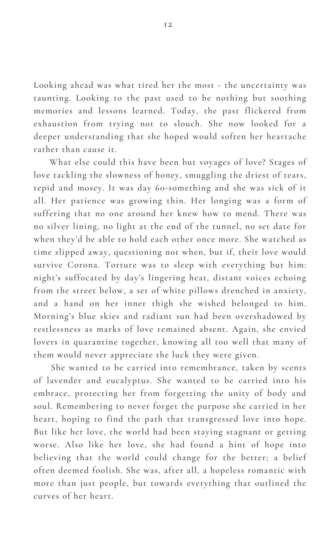Looking ahead was what tired her the most - the uncertainty was taunting. Looking to the past used to be nothing but soothing memories and lessons learned. Today, the past flickered from exhaustion from trying not to slouch. She now looked for a deeper understanding that she hoped would soften her heartache rather than cause it.

What else could this have been but voyages of love? Stages of love tackling the slowness of honey, smuggling the driest of tears, tepid and mosey. It was day 60-something and she was sick of it all. Her patience was growing thin. Her longing was a form of suffering that no one around her knew how to mend. There was no silver lining, no light at the end of the tunnel, no set date for when they 'd be able to hold each other once more. She watched as time slipped away, questioning not when, but if, their love would survive Corona. Torture was to sleep with everything but him: night's suffocated by day 's lingering heat, distant voices echoing from the street below, a set of white pillows drenched in anxiety, and a hand on her inner thigh she wished belonged to him. Morning's blue skies and radiant sun had been overshadowed by restlessness as marks of love remained absent. Again, she envied lovers in quarantine together, knowing all too well that many of them would never appreciate the luck they were given. She wanted to be carried into remembrance, taken by scents of lavender and eucalyptus. She wanted to be carried into his embrace, protecting her from forgetting the unity of body and soul. Remembering to never forget the purpose she carried in her heart, hoping to find the path that transgressed love into hope. But like her love, the world had been staying stagnant or getting worse. Also like her love, she had found a hint of hope into believing that the world could change for the better; a belief often deemed foolish. She was, after all, a hopeless romantic with more than just people, but towards everything that outlined the curves of her heart.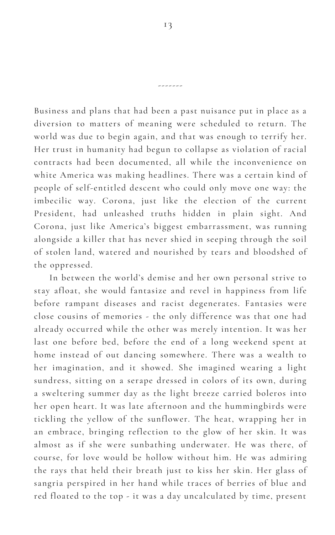13

-------

Business and plans that had been a past nuisance put in place as a diversion to matters of meaning were scheduled to return. The world was due to begin again, and that was enough to terrify her. Her trust in humanity had begun to collapse as violation of racial contracts had been documented, all while the inconvenience on white America was making headlines. There was a certain kind of people of self-entitled descent who could only move one way: the imbecilic way. Corona, just like the election of the current President, had unleashed truths hidden in plain sight. And Corona, just like America's biggest embarrassment, was running alongside a killer that has never shied in seeping through the soil of stolen land, watered and nourished by tears and bloodshed of the oppressed.

In between the world's demise and her own personal strive to

stay afloat, she would fantasize and revel in happiness from life before rampant diseases and racist degenerates. Fantasies were close cousins of memories - the only difference was that one had already occurred while the other was merely intention. It was her last one before bed, before the end of a long weekend spent at home instead of out dancing somewhere. There was a wealth to her imagination, and it showed. She imagined wearing a light sundress, sitting on a serape dressed in colors of its own, during a sweltering summer day as the light breeze carried boleros into her open heart. It was late afternoon and the hummingbirds were tickling the yellow of the sunflower. The heat, wrapping her in an embrace, bringing reflection to the glow of her skin. It was almost as if she were sunbathing underwater. He was there, of course, for love would be hollow without him. He was admiring the rays that held their breath just to kiss her skin. Her glass of sangria perspired in her hand while traces of berries of blue and red floated to the top - it was a day uncalculated by time, present